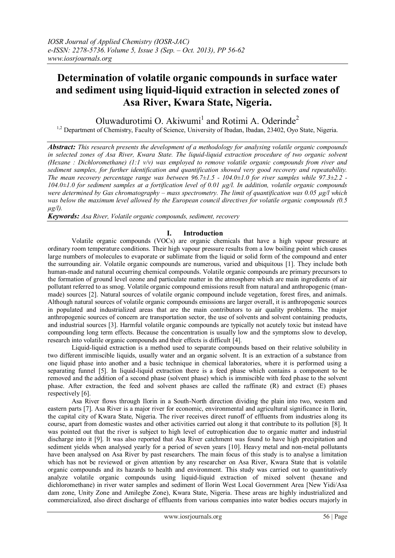# **Determination of volatile organic compounds in surface water and sediment using liquid-liquid extraction in selected zones of Asa River, Kwara State, Nigeria.**

Oluwadurotimi O. Akiwumi<sup>1</sup> and Rotimi A. Oderinde<sup>2</sup> <sup>1,2</sup> Department of Chemistry, Faculty of Science, University of Ibadan, Ibadan, 23402, Oyo State, Nigeria.

*Abstract: This research presents the development of a methodology for analysing volatile organic compounds in selected zones of Asa River, Kwara State. The liquid-liquid extraction procedure of two organic solvent (Hexane : Dichloromethane) (1:1 v/v) was employed to remove volatile organic compounds from river and sediment samples, for further identification and quantification showed very good recovery and repeatability. The mean recovery percentage range was between 96.7±1.5 - 104.0±1.0 for river samples while 97.3±2.2 - 104.0±1.0 for sediment samples at a fortification level of 0.01 µg/l. In addition, volatile organic compounds were determined by Gas chromatography – mass spectrometry. The limit of quantification was 0.05 µg/l which was below the maximum level allowed by the European council directives for volatile organic compounds (0.5 µg/l).*

*Keywords: Asa River, Volatile organic compounds, sediment, recovery*

#### **I. Introduction**

Volatile organic compounds (VOCs) are organic chemicals that have a high vapour pressure at ordinary room temperature conditions. Their high vapour pressure results from a low boiling point which causes large numbers of molecules to evaporate or sublimate from the liquid or solid form of the compound and enter the surrounding air. Volatile organic compounds are numerous, varied and ubiquitous [1]. They include both human-made and natural occurring chemical compounds. Volatile organic compounds are primary precursors to the formation of ground level ozone and particulate matter in the atmosphere which are main ingredients of air pollutant referred to as smog. Volatile organic compound emissions result from natural and anthropogenic (manmade) sources [2]. Natural sources of volatile organic compound include vegetation, forest fires, and animals. Although natural sources of volatile organic compounds emissions are larger overall, it is anthropogenic sources in populated and industrialized areas that are the main contributors to air quality problems. The major anthropogenic sources of concern are transportation sector, the use of solvents and solvent containing products, and industrial sources [3]. Harmful volatile organic compounds are typically not acutely toxic but instead have compounding long term effects. Because the concentration is usually low and the symptoms slow to develop, research into volatile organic compounds and their effects is difficult [4].

Liquid-liquid extraction is a method used to separate compounds based on their relative solubility in two different immiscible liquids, usually water and an organic solvent. It is an extraction of a substance from one liquid phase into another and a basic technique in chemical laboratories, where it is performed using a separating funnel [5]. In liquid-liquid extraction there is a feed phase which contains a component to be removed and the addition of a second phase (solvent phase) which is immiscible with feed phase to the solvent phase. After extraction, the feed and solvent phases are called the raffinate (R) and extract (E) phases respectively [6].

Asa River flows through Ilorin in a South-North direction dividing the plain into two, western and eastern parts [7]. Asa River is a major river for economic, environmental and agricultural significance in Ilorin, the capital city of Kwara State, Nigeria. The river receives direct runoff of effluents from industries along its course, apart from domestic wastes and other activities carried out along it that contribute to its pollution [8]. It was pointed out that the river is subject to high level of eutrophication due to organic matter and industrial discharge into it [9]. It was also reported that Asa River catchment was found to have high precipitation and sediment yields when analysed yearly for a period of seven years [10]. Heavy metal and non-metal pollutants have been analysed on Asa River by past researchers. The main focus of this study is to analyse a limitation which has not be reviewed or given attention by any researcher on Asa River, Kwara State that is volatile organic compounds and its hazards to health and environment. This study was carried out to quantitatively analyze volatile organic compounds using liquid-liquid extraction of mixed solvent (hexane and dichloromethane) in river water samples and sediment of Ilorin West Local Government Area [New Yidi/Asa dam zone, Unity Zone and Amilegbe Zone), Kwara State, Nigeria. These areas are highly industrialized and commercialized, also direct discharge of effluents from various companies into water bodies occurs majorly in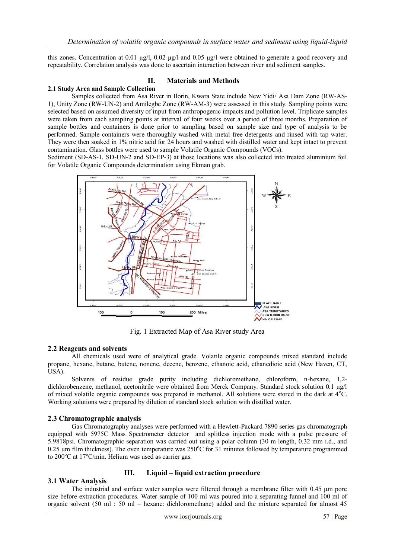this zones. Concentration at 0.01 µg/l, 0.02 µg/l and 0.05 µg/l were obtained to generate a good recovery and repeatability. Correlation analysis was done to ascertain interaction between river and sediment samples.

## **II. Materials and Methods**

#### **2.1 Study Area and Sample Collection**

Samples collected from Asa River in Ilorin, Kwara State include New Yidi/ Asa Dam Zone (RW-AS-1), Unity Zone (RW-UN-2) and Amilegbe Zone (RW-AM-3) were assessed in this study. Sampling points were selected based on assumed diversity of input from anthropogenic impacts and pollution level. Triplicate samples were taken from each sampling points at interval of four weeks over a period of three months. Preparation of sample bottles and containers is done prior to sampling based on sample size and type of analysis to be performed. Sample containers were thoroughly washed with metal free detergents and rinsed with tap water. They were then soaked in 1% nitric acid for 24 hours and washed with distilled water and kept intact to prevent contamination. Glass bottles were used to sample Volatile Organic Compounds (VOCs).

Sediment (SD-AS-1, SD-UN-2 and SD-EP-3) at those locations was also collected into treated aluminium foil for Volatile Organic Compounds determination using Ekman grab.



Fig. 1 Extracted Map of Asa River study Area

## **2.2 Reagents and solvents**

All chemicals used were of analytical grade. Volatile organic compounds mixed standard include propane, hexane, butane, butene, nonene, decene, benzene, ethanoic acid, ethanedioic acid (New Haven, CT, USA).

Solvents of residue grade purity including dichloromethane, chloroform, n-hexane, 1,2 dichlorobenzene, methanol, acetonitrile were obtained from Merck Company. Standard stock solution 0.1 µg/l of mixed volatile organic compounds was prepared in methanol. All solutions were stored in the dark at  $4^{\circ}$ C. Working solutions were prepared by dilution of standard stock solution with distilled water.

## **2.3 Chromatographic analysis**

Gas Chromatography analyses were performed with a Hewlett-Packard 7890 series gas chromatograph equipped with 5975C Mass Spectrometer detector and splitless injection mode with a pulse pressure of 5.9818psi. Chromatographic separation was carried out using a polar column (30 m length, 0.32 mm i.d., and 0.25  $\mu$ m film thickness). The oven temperature was 250 $\degree$ C for 31 minutes followed by temperature programmed to  $200^{\circ}$ C at  $17^{\circ}$ C/min. Helium was used as carrier gas.

## **III. Liquid – liquid extraction procedure**

## **3.1 Water Analysis**

The industrial and surface water samples were filtered through a membrane filter with 0.45 µm pore size before extraction procedures. Water sample of 100 ml was poured into a separating funnel and 100 ml of organic solvent (50 ml : 50 ml – hexane: dichloromethane) added and the mixture separated for almost 45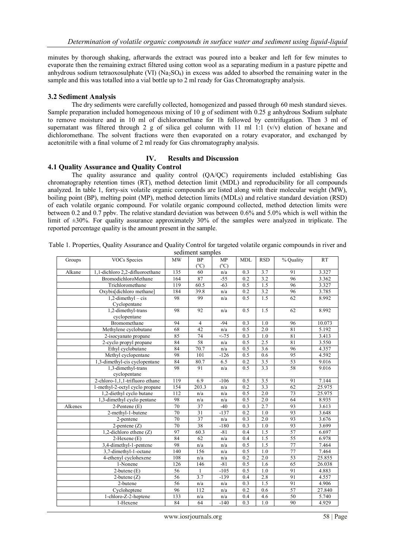minutes by thorough shaking, afterwards the extract was poured into a beaker and left for few minutes to evaporate then the remaining extract filtered using cotton wool as a separating medium in a pasture pipette and anhydrous sodium tetraoxosulphate (VI)  $(Na_2SO_4)$  in excess was added to absorbed the remaining water in the sample and this was totalled into a vial bottle up to 2 ml ready for Gas Chromatography analysis.

#### **3.2 Sediment Analysis**

The dry sediments were carefully collected, homogenized and passed through 60 mesh standard sieves. Sample preparation included homogeneous mixing of 10 g of sediment with 0.25 g anhydrous Sodium sulphate to remove moisture and in 10 ml of dichloromethane for 1h followed by centrifugation. Then 3 ml of supernatant was filtered through 2 g of silica gel column with 11 ml 1:1 (v/v) elution of hexane and dichloromethane. The solvent fractions were then evaporated on a rotary evaporator, and exchanged by acetonitrile with a final volume of 2 ml ready for Gas chromatography analysis.

## **IV. Results and Discussion**

## **4.1 Quality Assurance and Quality Control**

The quality assurance and quality control (QA/QC) requirements included establishing Gas chromatography retention times (RT), method detection limit (MDL) and reproducibility for all compounds analyzed. In table 1, forty-six volatile organic compounds are listed along with their molecular weight (MW), boiling point (BP), melting point (MP), method detection limits (MDLs) and relative standard deviation (RSD) of each volatile organic compound. For volatile organic compound collected, method detection limits were between 0.2 and 0.7 ppbv. The relative standard deviation was between 0.6% and 5.0% which is well within the limit of  $\pm 30\%$ . For quality assurance approximately 30% of the samples were analyzed in triplicate. The reported percentage quality is the amount present in the sample.

|         |                                   |     | <b>SUMMER SAMPLES</b>      |                     |            |                  |                 |           |
|---------|-----------------------------------|-----|----------------------------|---------------------|------------|------------------|-----------------|-----------|
| Groups  | VOCs Species                      | MW  | <b>BP</b><br>$(^{\circ}C)$ | MP<br>$(^{\circ}C)$ | <b>MDL</b> | <b>RSD</b>       | % Ouality       | <b>RT</b> |
| Alkane  | 1,1-dichloro 2,2-difluoroethane   | 135 | 60                         | n/a                 | 0.3        | 3.7              | 91              | 3.327     |
|         | BromodichloroMethane              | 164 | 87                         | $-55$               | 0.2        | 3.2              | 96              | 3.362     |
|         | Trichloromethane                  | 119 | 60.5                       | $-63$               | 0.5        | 1.5              | 96              | 3.327     |
|         | Oxybis[dichloro methane]          | 184 | 39.8                       | n/a                 | 0.2        | 3.2              | 96              | 3.785     |
|         | $1,2$ -dimethyl – cis             | 98  | 99                         | n/a                 | 0.5        | 1.5              | 62              | 8.992     |
|         | Cyclopentane                      |     |                            |                     |            |                  |                 |           |
|         | 1,2-dimethyl-trans                | 98  | 92                         | n/a                 | 0.5        | 1.5              | 62              | 8.992     |
|         | cyclopentane                      |     |                            |                     |            |                  |                 |           |
|         | Bromomethane                      | 94  | $\overline{4}$             | $-94$               | 0.3        | 1.0              | 96              | 10.073    |
|         | Methylene cyclobutane             | 68  | 42                         | n/a                 | 0.5        | 2.0              | 81              | 5.192     |
|         | 2-isocyanato propane              | 85  | 74                         | $< -75$             | 0.3        | 1.0              | 81              | 3.413     |
|         | 2-cyclo propyl propane            | 84  | 58                         | n/a                 | 0.5        | 2.5              | 81              | 3.550     |
|         | Ethyl cyclobutane                 | 84  | 70.7                       | n/a                 | 0.5        | $\overline{3.6}$ | 96              | 4.357     |
|         | Methyl cyclopentane               | 98  | 101                        | $-126$              | 0.5        | 0.6              | 95              | 4.592     |
|         | 1,3-dimethyl-cis cyclopentane     | 84  | 80.7                       | 6.5                 | 0.2        | 3.5              | $\overline{53}$ | 9.016     |
|         | 1,3-dimethyl-trans                | 98  | 91                         | n/a                 | 0.5        | 3.3              | 58              | 9.016     |
|         | cyclopentane                      |     |                            |                     |            |                  |                 |           |
|         | 2-chloro-1,1,1-trifluoro ethane   | 119 | 6.9                        | $-106$              | 0.5        | 3.5              | 91              | 7.144     |
|         | 1-methyl-2-octyl cyclo propane    | 154 | 203.3                      | n/a                 | 0.2        | 3.3              | 62              | 25.975    |
|         | 1,2-diethyl cyclo butane          | 112 | n/a                        | n/a                 | 0.5        | 2.0              | 73              | 25.975    |
|         | 1,3-dimethyl cyclo pentane        | 98  | n/a                        | n/a                 | 0.5        | 2.0              | 64              | 8.935     |
| Alkenes | 2-Pentene (E)                     | 70  | 37                         | $-40$               | 0.3        | 2.7              | 93              | 3.613     |
|         | 2-methyl-1-butene                 | 70  | $\overline{31}$            | $-137$              | 0.2        | 1.0              | 93              | 3.648     |
|         | 2-pentene                         | 70  | 37                         | n/a                 | 0.3        | 2.0              | 93              | 3.676     |
|         | $2$ -pentene $(Z)$                | 70  | 38                         | $-180$              | 0.3        | 1.0              | 93              | 3.699     |
|         | 1,2-dichloro ethene $(Z)$         | 97  | 60.3                       | $-81$               | 0.4        | 1.5              | 57              | 6.697     |
|         | 2-Hexene (E)                      | 84  | 62                         | n/a                 | 0.4        | 1.5              | 55              | 6.978     |
|         | 3,4-dimethyl-1-pentene            | 98  | n/a                        | n/a                 | 0.5        | 1.5              | 77              | 7.464     |
|         | 3,7-dimethyl-1-octane             | 140 | 156                        | n/a                 | 0.5        | $\overline{1.0}$ | 77              | 7.464     |
|         | 4-ethenyl cyclohexene             | 108 | n/a                        | n/a                 | 0.2        | 2.0              | 53              | 25.855    |
|         | 1-Nonene                          | 126 | 146                        | $-81$               | 0.5        | 1.6              | 65              | 26.038    |
|         | $2$ -butene $(E)$                 | 56  | 1                          | $-105$              | 0.5        | 1.0              | 91              | 4.883     |
|         | $2$ -butene $(Z)$                 | 56  | 3.7                        | $-139$              | 0.4        | 2.8              | 91              | 4.557     |
|         | $2$ -butene                       | 56  | n/a                        | n/a                 | 0.3        | 1.5              | 91              | 4.906     |
|         | $\overline{\text{Cyc}}$ loheptene | 96  | 112                        | n/a                 | 0.2        | 0.6              | 57              | 27.840    |
|         | 1-chloro-Z-2-heptene              | 133 | n/a                        | n/a                 | 0.4        | 4.6              | 50              | 5.740     |
|         | 1-Hexene                          | 84  | 64                         | $-140$              | 0.3        | 1.0              | 90              | 4.929     |
|         |                                   |     |                            |                     |            |                  |                 |           |

Table 1. Properties, Quality Assurance and Quality Control for targeted volatile organic compounds in river and sediment samples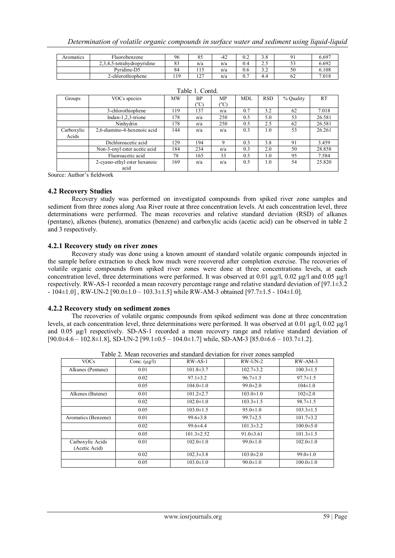*Determination of volatile organic compounds in surface water and sediment using liquid-liquid* 

| Aromatics | T1<br>Fluorobenzene        | 96       | o J                              | $-42$ | V.Z     | റ റ<br>ں. ر |    | 5.697 |
|-----------|----------------------------|----------|----------------------------------|-------|---------|-------------|----|-------|
|           | 2,3,4,5-tetrahydropyridine | o n<br>ບ | n/a                              | n/a   | 0.4     | ر. ت        | ັ້ | 6.692 |
|           | Pyridine-D5                | 84       | $\sim$<br>$\sim$ 1 $\sim$        | n/a   | U.6     | $\sim$      | 50 | 5.108 |
|           | 2-chlorothiophene          | 119      | $\sim$<br>$\cdot$ $\sim$ $\cdot$ | n/a   | -<br>U. | 4.4         | bΖ | 7.018 |

|            |                              |           | Table T. Colliu. |                             |            |            |           |           |
|------------|------------------------------|-----------|------------------|-----------------------------|------------|------------|-----------|-----------|
| Groups     | VOCs species                 | <b>MW</b> | <b>BP</b>        | MP.                         | <b>MDL</b> | <b>RSD</b> | % Quality | <b>RT</b> |
|            |                              |           | $(^{\circ}C)$    | $(^{\mathrm{o}}\mathrm{C})$ |            |            |           |           |
|            | 3-chlorothiophene            | 119       | 137              | n/a                         | 0.7        | 3.2        | 62        | 7.018     |
|            | Indan-1,2,3-trione           | 178       | n/a              | 250                         | 0.5        | 5.0        | 53        | 26.581    |
|            | Ninhydrin                    | 178       | n/a              | 250                         | 0.5        | 2.5        | 62        | 26.581    |
| Carboxylic | 2,6-diamino-4-hexenoic acid  | 144       | n/a              | n/a                         | 0.3        | 1.0        | 53        | 26.261    |
| Acids      |                              |           |                  |                             |            |            |           |           |
|            | Dichloroacetic acid          | 129       | 194              | 9                           | 0.3        | 3.8        | 91        | 3.459     |
|            | Non-3-enyl ester acetic acid | 184       | 234              | n/a                         | 0.3        | 2.0        | 50        | 28.858    |
|            | Fluoroacetic acid            | 78        | 165              | 33                          | 0.5        | 1.0        | 95        | 7.584     |
|            | 2-cyano-ethyl ester hexanoic | 169       | n/a              | n/a                         | 0.5        | 1.0        | 54        | 25.820    |
|            | acid                         |           |                  |                             |            |            |           |           |

|  |  |  | Table 1. Contd. |
|--|--|--|-----------------|
|--|--|--|-----------------|

Source: Author's fieldwork

#### **4.2 Recovery Studies**

Recovery study was performed on investigated compounds from spiked river zone samples and sediment from three zones along Asa River route at three concentration levels. At each concentration level, three determinations were performed. The mean recoveries and relative standard deviation (RSD) of alkanes (pentane), alkenes (butene), aromatics (benzene) and carboxylic acids (acetic acid) can be observed in table 2 and 3 respectively.

#### **4.2.1 Recovery study on river zones**

Recovery study was done using a known amount of standard volatile organic compounds injected in the sample before extraction to check how much were recovered after completion exercise. The recoveries of volatile organic compounds from spiked river zones were done at three concentrations levels, at each concentration level, three determinations were performed. It was observed at 0.01  $\mu$ g/l, 0.02  $\mu$ g/l and 0.05  $\mu$ g/l respectively. RW-AS-1 recorded a mean recovery percentage range and relative standard deviation of [97.1±3.2 - 104±1.0] , RW-UN-2 [90.0±1.0 – 103.3±1.5] while RW-AM-3 obtained [97.7±1.5 - 104±1.0].

#### **4.2.2 Recovery study on sediment zones**

The recoveries of volatile organic compounds from spiked sediment was done at three concentration levels, at each concentration level, three determinations were performed. It was observed at 0.01  $\mu$ g/l, 0.02  $\mu$ g/l and 0.05 µg/l respectively. SD-AS-1 recorded a mean recovery range and relative standard deviation of [90.0±4.6 – 102.8±1.8], SD-UN-2 [99.1±0.5 – 104.0±1.7] while, SD-AM-3 [85.0±6.6 – 103.7±1.2].

| <b>VOCs</b>                       | Conc. $(\mu g/l)$ | $RW-AS-1$        | $RW$ -UN-2      | $RW-AM-3$       |
|-----------------------------------|-------------------|------------------|-----------------|-----------------|
| Alkanes (Pentane)                 | 0.01              | $101.8 \pm 3.7$  | $102.7 \pm 3.2$ | $100.3 \pm 1.5$ |
|                                   | 0.02              | $97.1 \pm 3.2$   | $96.7 \pm 1.5$  | $97.7 \pm 1.5$  |
|                                   | 0.05              | $104.0 \pm 1.0$  | $99.0 \pm 2.0$  | $104 \pm 1.0$   |
| Alkenes (Butene)                  | 0.01              | $101.2 \pm 2.7$  | $103.0 \pm 1.0$ | $102 \pm 2.0$   |
|                                   | 0.02              | $102.0 \pm 1.0$  | $103.3 \pm 1.5$ | $98.7 \pm 1.5$  |
|                                   | 0.05              | $103.0 \pm 1.5$  | $95.0 \pm 1.0$  | $103.3 \pm 1.5$ |
| Aromatics (Benzene)               | 0.01              | $99.6 \pm 3.8$   | $99.7 \pm 2.5$  | $101.7 \pm 3.2$ |
|                                   | 0.02              | $99.6 \pm 4.4$   | $101.3 \pm 3.2$ | $100.0 \pm 5.0$ |
|                                   | 0.05              | $101.3 \pm 2.52$ | $91.0 \pm 3.61$ | $101.3 \pm 1.5$ |
| Carboxylic Acids<br>(Acetic Acid) | 0.01              | $102.0 \pm 1.0$  | $99.0 \pm 1.0$  | $102.0 \pm 1.0$ |
|                                   | 0.02              | $102.3 \pm 3.8$  | $103.0 \pm 2.0$ | $99.0 \pm 1.0$  |
|                                   | 0.05              | $103.0 \pm 1.0$  | $90.0 \pm 1.0$  | $100.0 \pm 1.0$ |

Table 2. Mean recoveries and standard deviation for river zones sampled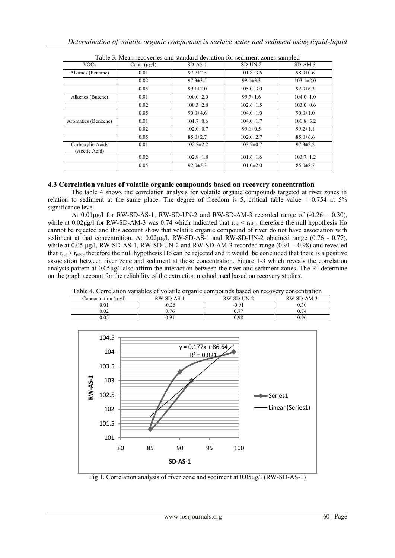| <b>VOCs</b>                       | Conc. $(\mu g/l)$ | $SD-AS-1$       | $SD-UN-2$       | $SD-AM-3$       |
|-----------------------------------|-------------------|-----------------|-----------------|-----------------|
| Alkanes (Pentane)                 | 0.01              | $97.7 \pm 2.5$  | $101.8 \pm 3.6$ | $98.9 \pm 0.6$  |
|                                   | 0.02              | $97.3 \pm 3.5$  | $99.1 \pm 3.3$  | $103.1 \pm 2.0$ |
|                                   | 0.05              | $99.1 \pm 2.0$  | $105.0 \pm 3.0$ | $92.0 \pm 6.3$  |
| Alkenes (Butene)                  | 0.01              | $100.0 \pm 2.0$ | $99.7 \pm 1.6$  | $104.0 \pm 1.0$ |
|                                   | 0.02              | $100.3 \pm 2.8$ | $102.6 \pm 1.5$ | $103.0 \pm 0.6$ |
|                                   | 0.05              | $90.0 + 4.6$    | $104.0 \pm 1.0$ | $90.0 \pm 1.0$  |
| Aromatics (Benzene)               | 0.01              | $101.7 \pm 0.6$ | $104.0 \pm 1.7$ | $100.8 \pm 3.2$ |
|                                   | 0.02              | $102.0 \pm 0.7$ | $99.1 \pm 0.5$  | $99.2 \pm 1.1$  |
|                                   | 0.05              | $85.0 \pm 2.7$  | $102.0 \pm 2.7$ | $85.0 \pm 6.6$  |
| Carboxylic Acids<br>(Acetic Acid) | 0.01              | $102.7 \pm 2.2$ | $103.7 \pm 0.7$ | $97.3 \pm 2.2$  |
|                                   | 0.02              | $102.8 \pm 1.8$ | $101.6 \pm 1.6$ | $103.7 \pm 1.2$ |
|                                   | 0.05              | $92.0 \pm 5.3$  | $101.0 \pm 2.0$ | $85.0 \pm 8.7$  |

| Table 3. Mean recoveries and standard deviation for sediment zones sampled |  |
|----------------------------------------------------------------------------|--|
|----------------------------------------------------------------------------|--|

## **4.3 Correlation values of volatile organic compounds based on recovery concentration**

The table 4 shows the correlation analysis for volatile organic compounds targeted at river zones in relation to sediment at the same place. The degree of freedom is 5, critical table value  $= 0.754$  at  $5\%$ significance level.

At  $0.01\mu$ g/l for RW-SD-AS-1, RW-SD-UN-2 and RW-SD-AM-3 recorded range of  $(-0.26 - 0.30)$ , while at  $0.02\mu\text{g}/\text{l}$  for RW-SD-AM-3 was 0.74 which indicated that  $r_{\text{cal}} < r_{\text{table}}$  therefore the null hypothesis Ho cannot be rejected and this account show that volatile organic compound of river do not have association with sediment at that concentration. At  $0.02\mu$ g/l, RW-SD-AS-1 and RW-SD-UN-2 obtained range (0.76 - 0.77), while at 0.05  $\mu$ g/l, RW-SD-AS-1, RW-SD-UN-2 and RW-SD-AM-3 recorded range (0.91 – 0.98) and revealed that  $r_{cal} > r_{table}$  therefore the null hypothesis Ho can be rejected and it would be concluded that there is a positive association between river zone and sediment at those concentration. Figure 1-3 which reveals the correlation analysis pattern at  $0.05\mu g/l$  also affirm the interaction between the river and sediment zones. The  $R^2$  determine on the graph account for the reliability of the extraction method used based on recovery studies.

| Table 4. Correlation variables of volatile organic compounds based on recovery concentration |            |            |            |  |  |  |
|----------------------------------------------------------------------------------------------|------------|------------|------------|--|--|--|
| Concentration $(\mu \varrho/l)$                                                              | RW-SD-AS-1 | RW-SD-UN-2 | RW-SD-AM-3 |  |  |  |
| 0.01                                                                                         | $-0.26$    | $-0.91$    | 0.30       |  |  |  |
| 0.02                                                                                         | 0.76       | 0.77       | 0.74       |  |  |  |
| 0.05                                                                                         | 0.91       | 0.98       | 0.96       |  |  |  |



Fig 1. Correlation analysis of river zone and sediment at 0.05µg/l (RW-SD-AS-1)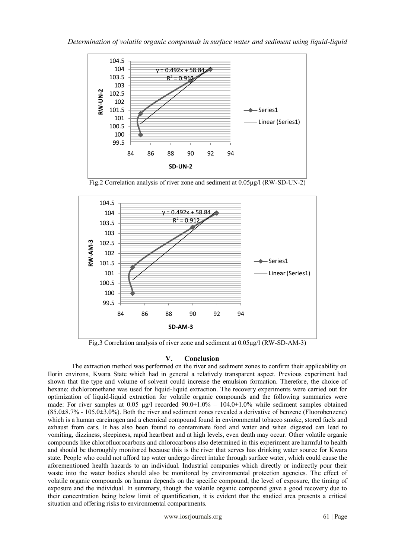

Fig.2 Correlation analysis of river zone and sediment at 0.05µg/l (RW-SD-UN-2)



Fig.3 Correlation analysis of river zone and sediment at 0.05µg/l (RW-SD-AM-3)

# **V. Conclusion**

The extraction method was performed on the river and sediment zones to confirm their applicability on Ilorin environs, Kwara State which had in general a relatively transparent aspect. Previous experiment had shown that the type and volume of solvent could increase the emulsion formation. Therefore, the choice of hexane: dichloromethane was used for liquid-liquid extraction. The recovery experiments were carried out for optimization of liquid-liquid extraction for volatile organic compounds and the following summaries were made: For river samples at 0.05 µg/l recorded  $90.0\pm1.0\%$  –  $104.0\pm1.0\%$  while sediment samples obtained (85.0±8.7% - 105.0±3.0%). Both the river and sediment zones revealed a derivative of benzene (Fluorobenzene) which is a human carcinogen and a chemical compound found in environmental tobacco smoke, stored fuels and exhaust from cars. It has also been found to contaminate food and water and when digested can lead to vomiting, dizziness, sleepiness, rapid heartbeat and at high levels, even death may occur. Other volatile organic compounds like chlorofluorocarbons and chlorocarbons also determined in this experiment are harmful to health and should be thoroughly monitored because this is the river that serves has drinking water source for Kwara state. People who could not afford tap water undergo direct intake through surface water, which could cause the aforementioned health hazards to an individual. Industrial companies which directly or indirectly pour their waste into the water bodies should also be monitored by environmental protection agencies. The effect of volatile organic compounds on human depends on the specific compound, the level of exposure, the timing of exposure and the individual. In summary, though the volatile organic compound gave a good recovery due to their concentration being below limit of quantification, it is evident that the studied area presents a critical situation and offering risks to environmental compartments.